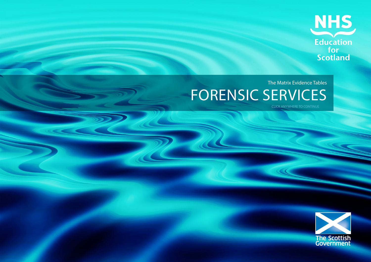

# The Matrix Evidence Tables FORENSIC SERVICES

CLICK ANYWHERE TO CONTINUE

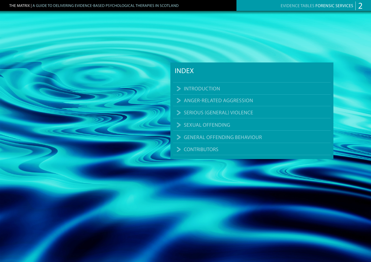### INDEX

- > INTRODUCTION
- ANGER-RELATED AGGRESSION
- SERIOUS (GENERAL) VIOLENCE
- SEXUAL OFFENDING
- GENERAL OFFENDING BEHAVIOUR
- S CONTRIBUTORS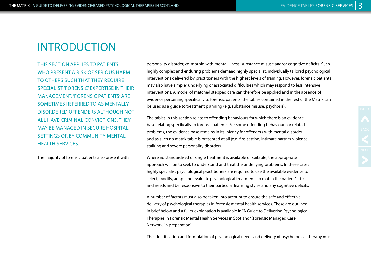THIS SECTION APPLIES TO PATIENTS WHO PRESENT A RISK OF SERIOUS HARM TO OTHERS SUCH THAT THEY REQUIRE SPECIALIST 'FORENSIC' EXPERTISE IN THEIR MANAGEMENT. 'FORENSIC PATIENTS' ARE SOMETIMES REFERRED TO AS MENTALLY DISORDERED OFFENDERS ALTHOUGH NOT ALL HAVE CRIMINAL CONVICTIONS. THEY MAY BE MANAGED IN SECURE HOSPITAL SETTINGS OR BY COMMUNITY MENTAL HEALTH SERVICES.

The majority of forensic patients also present with

personality disorder, co-morbid with mental illness, substance misuse and/or cognitive deficits. Such highly complex and enduring problems demand highly specialist, individually tailored psychological interventions delivered by practitioners with the highest levels of training. However, forensic patients may also have simpler underlying or associated difficulties which may respond to less intensive interventions. A model of matched stepped care can therefore be applied and in the absence of evidence pertaining specifically to forensic patients, the tables contained in the rest of the Matrix can be used as a guide to treatment planning (e.g. substance misuse, psychosis).

The tables in this section relate to offending behaviours for which there is an evidence base relating specifically to forensic patients. For some offending behaviours or related problems, the evidence base remains in its infancy for offenders with mental disorder and as such no matrix table is presented at all (e.g. fire-setting, intimate partner violence, stalking and severe personality disorder).

Where no standardised or single treatment is available or suitable, the appropriate approach will be to seek to understand and treat the underlying problems. In these cases highly specialist psychological practitioners are required to use the available evidence to select, modify, adapt and evaluate psychological treatments to match the patient's risks and needs and be responsive to their particular learning styles and any cognitive deficits.

A number of factors must also be taken into account to ensure the safe and effective delivery of psychological therapies in forensic mental health services. These are outlined in brief below and a fuller explanation is available in "A Guide to Delivering Psychological Therapies in Forensic Mental Health Services in Scotland" (Forensic Managed Care Network, in preparation).

The identification and formulation of psychological needs and delivery of psychological therapy must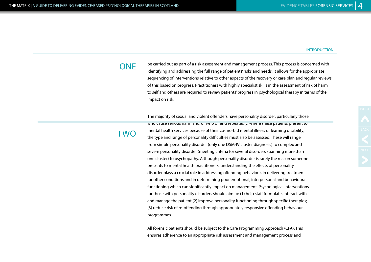be carried out as part of a risk assessment and management process. This process is concerned with identifying and addressing the full range of patients' risks and needs. It allows for the appropriate sequencing of interventions relative to other aspects of the recovery or care plan and regular reviews of this based on progress. Practitioners with highly specialist skills in the assessment of risk of harm to self and others are required to review patients' progress in psychological therapy in terms of the impact on risk.

The majority of sexual and violent offenders have personality disorder, particularly those who cause serious harm and/or who offend repeatedly. Where these patients present to mental health services because of their co-morbid mental illness or learning disability, the type and range of personality difficulties must also be assessed. These will range from simple personality disorder (only one DSM-IV cluster diagnosis) to complex and severe personality disorder (meeting criteria for several disorders spanning more than one cluster) to psychopathy. Although personality disorder is rarely the reason someone presents to mental health practitioners, understanding the effects of personality disorder plays a crucial role in addressing offending behaviour, in delivering treatment for other conditions and in determining poor emotional, interpersonal and behavioural functioning which can significantly impact on management. Psychological interventions for those with personality disorders should aim to: (1) help staff formulate, interact with and manage the patient (2) improve personality functioning through specific therapies; (3) reduce risk of re-offending through appropriately responsive offending behaviour programmes.

All forensic patients should be subject to the Care Programming Approach (CPA). This ensures adherence to an appropriate risk assessment and management process and

## **ONE**

TWO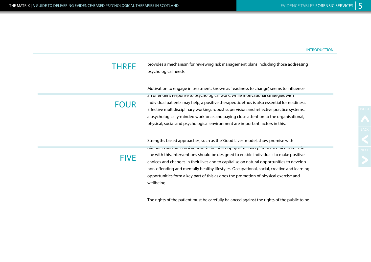provides a mechanism for reviewing risk management plans including those addressing psychological needs.

Motivation to engage in treatment, known as 'readiness to change', seems to influence an offender's response to psychological work. While motivational strategies with individual patients may help, a positive therapeutic ethos is also essential for readiness. Effective multidisciplinary working, robust supervision and reflective practice systems, a psychologically-minded workforce, and paying close attention to the organisational, physical, social and psychological environment are important factors in this.

Strengths based approaches, such as the 'Good Lives' model, show promise with offenders and are consistent with the philosophy of 'recovery' from mental disorder. In line with this, interventions should be designed to enable individuals to make positive choices and changes in their lives and to capitalise on natural opportunities to develop non-offending and mentally healthy lifestyles. Occupational, social, creative and learning opportunities form a key part of this as does the promotion of physical exercise and wellbeing.

The rights of the patient must be carefully balanced against the rights of the public to be

## **THREE**

FOUR

**FIVE**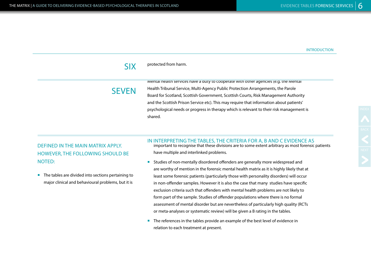#### protected from harm. SIX

## **SEVEN**

Mental health services have a duty to cooperate with other agencies (e.g. the Mental Health Tribunal Service, Multi-Agency Public Protection Arrangements, the Parole Board for Scotland, Scottish Government, Scottish Courts, Risk Management Authority and the Scottish Prison Service etc). This may require that information about patients' psychological needs or progress in therapy which is relevant to their risk management is shared.

### DEFINED IN THE MAIN MATRIX APPLY. HOWEVER, THE FOLLOWING SHOULD BE NOTED:

■ The tables are divided into sections pertaining to major clinical and behavioural problems, but it is

### IN INTERPRETING THE TABLES, THE CRITERIA FOR A, B AND C EVIDENCE AS

important to recognise that these divisions are to some extent arbitrary as most forensic patients have multiple and interlinked problems.

- Studies of non-mentally disordered offenders are generally more widespread and are worthy of mention in the forensic mental health matrix as it is highly likely that at least some forensic patients (particularly those with personality disorders) will occur in non-offender samples. However it is also the case that many studies have specific exclusion criteria such that offenders with mental health problems are not likely to form part of the sample. Studies of offender populations where there is no formal assessment of mental disorder but are nevertheless of particularly high quality (RCTs or meta-analyses or systematic review) will be given a B rating in the tables.
- The references in the tables provide an example of the best level of evidence in relation to each treatment at present.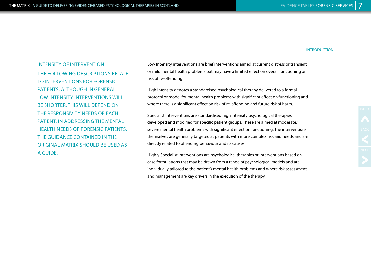INTENSITY OF INTERVENTION THE FOLLOWING DESCRIPTIONS RELATE TO INTERVENTIONS FOR FORENSIC PATIENTS. ALTHOUGH IN GENERAL LOW INTENSITY INTERVENTIONS WILL BE SHORTER, THIS WILL DEPEND ON THE RESPONSIVITY NEEDS OF EACH PATIENT. IN ADDRESSING THE MENTAL HEALTH NEEDS OF FORENSIC PATIENTS, THE GUIDANCE CONTAINED IN THE ORIGINAL MATRIX SHOULD BE USED AS A GUIDE.

Low Intensity interventions are brief interventions aimed at current distress or transient or mild mental health problems but may have a limited effect on overall functioning or risk of re-offending.

High Intensity denotes a standardised psychological therapy delivered to a formal protocol or model for mental health problems with significant effect on functioning and where there is a significant effect on risk of re-offending and future risk of harm.

Specialist interventions are standardised high intensity psychological therapies developed and modified for specific patient groups. These are aimed at moderate/ severe mental health problems with significant effect on functioning. The interventions themselves are generally targeted at patients with more complex risk and needs and are directly related to offending behaviour and its causes.

Highly Specialist interventions are psychological therapies or interventions based on case formulations that may be drawn from a range of psychological models and are individually tailored to the patient's mental health problems and where risk assessment and management are key drivers in the execution of the therapy.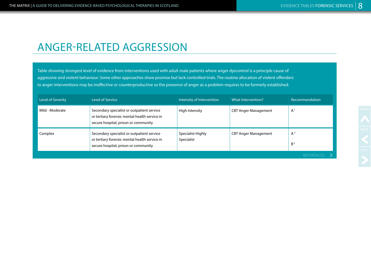## ANGER-RELATED AGGRESSION

Table showing strongest level of evidence from interventions used with adult male patients where anger dyscontrol is a principle cause of aggressive and violent behaviour. Some other approaches show promise but lack controlled trials. The routine allocation of violent offenders to anger interventions may be ineffective or counterproductive so the presence of anger as a problem requires to be formerly established.

| Level of Severity | Level of Service                                                                                                                    | Intensity of Intervention       | What Intervention?          | Recommendation          |
|-------------------|-------------------------------------------------------------------------------------------------------------------------------------|---------------------------------|-----------------------------|-------------------------|
| Mild - Moderate   | Secondary specialist or outpatient service<br>or tertiary forensic mental health service in<br>secure hospital, prison or community | High Intensity                  | <b>CBT Anger Management</b> | $A^1$                   |
| Complex           | Secondary specialist or outpatient service<br>or tertiary forensic mental health service in<br>secure hospital, prison or community | Specialist-Highly<br>Specialist | <b>CBT Anger Management</b> | $A^2$<br>B <sup>3</sup> |
|                   |                                                                                                                                     |                                 |                             | <b>REFERENCES</b>       |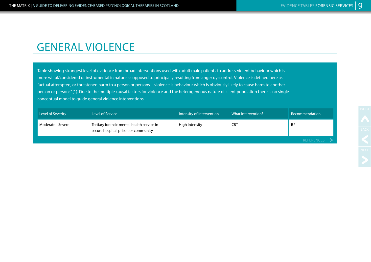# GENERAL VIOLENCE

Table showing strongest level of evidence from broad interventions used with adult male patients to address violent behaviour which is more wilful/considered or instrumental in nature as opposed to principally resulting from anger dyscontrol. Violence is defined here as "actual attempted, or threatened harm to a person or persons…violence is behaviour which is obviously likely to cause harm to another person or persons" (1). Due to the multiple causal factors for violence and the heterogeneous nature of client population there is no single conceptual model to guide general violence interventions.

| Level of Severity | Level of Service                                                                   | Intensity of Intervention | What Intervention? | Recommendation    |
|-------------------|------------------------------------------------------------------------------------|---------------------------|--------------------|-------------------|
| Moderate - Severe | Tertiary forensic mental health service in<br>secure hospital, prison or community | High Intensity            | <b>CBT</b>         | B <sup>2</sup>    |
|                   |                                                                                    |                           |                    | <b>REFERENCES</b> |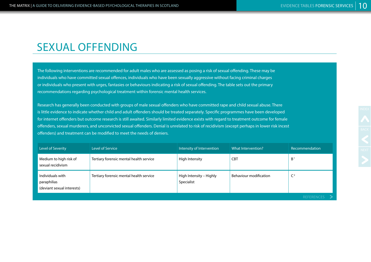# SEXUAL OFFENDING

The following interventions are recommended for adult males who are assessed as posing a risk of sexual offending. These may be individuals who have committed sexual offences, individuals who have been sexually aggressive without facing criminal charges or individuals who present with urges, fantasies or behaviours indicating a risk of sexual offending. The table sets out the primary recommendations regarding psychological treatment within forensic mental health services.

Research has generally been conducted with groups of male sexual offenders who have committed rape and child sexual abuse. There is little evidence to indicate whether child and adult offenders should be treated separately. Specific programmes have been developed for internet offenders but outcome research is still awaited. Similarly limited evidence exists with regard to treatment outcome for female offenders, sexual murderers, and unconvicted sexual offenders. Denial is unrelated to risk of recidivism (except perhaps in lower risk incest offenders) and treatment can be modified to meet the needs of deniers.

| Level of Severity                                             | Level of Service                        | Intensity of Intervention             | What Intervention?     | Recommendation |
|---------------------------------------------------------------|-----------------------------------------|---------------------------------------|------------------------|----------------|
| Medium to high risk of<br>sexual recidivism                   | Tertiary forensic mental health service | High Intensity                        | <b>CBT</b>             | B <sup>1</sup> |
| Individuals with<br>paraphilias<br>(deviant sexual interests) | Tertiary forensic mental health service | High Intensity - Highly<br>Specialist | Behaviour modification |                |
|                                                               |                                         |                                       |                        | REFERENCES >   |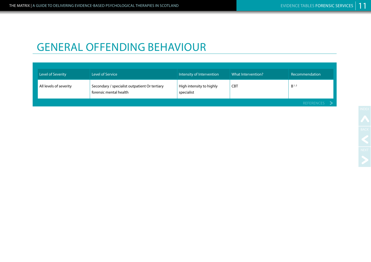# GENERAL OFFENDING BEHAVIOUR

| Level of Severity      | Level of Service                                                        | Intensity of Intervention              | What Intervention? | Recommendation   |
|------------------------|-------------------------------------------------------------------------|----------------------------------------|--------------------|------------------|
| All levels of severity | Secondary / specialist outpatient Or tertiary<br>forensic mental health | High intensity to highly<br>specialist | <b>CBT</b>         | B <sup>1,2</sup> |
|                        |                                                                         |                                        |                    | REFERENCES >     |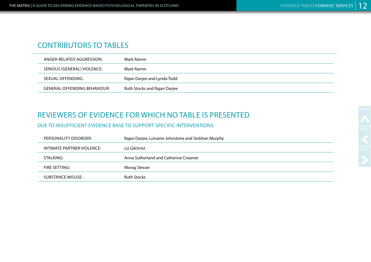## CONTRIBUTORS TO TABLES

| ANGER-RELATED AGGRESSION:    | Mark Ramm                    |
|------------------------------|------------------------------|
| SERIOUS (GENERAL) VIOLENCE:  | Mark Ramm                    |
| SEXUAL OFFENDING:            | Rajan Darjee and Lynda Todd  |
| GENERAL OFFENDING BEHAVIOUR: | Ruth Stocks and Rajan Darjee |

### REVIEWERS OF EVIDENCE FOR WHICH NO TABLE IS PRESENTED

DUE TO INSUFFICIENT EVIDENCE BASE TO SUPPORT SPECIFIC INTERVENTIONS:

| PERSONALITY DISORDER:      | Rajan Darjee, Lorraine Johnstone and Siobhan Murphy |
|----------------------------|-----------------------------------------------------|
| INTIMATE PARTNER VIOLENCE: | Liz Gilchrist                                       |
| STALKING:                  | Anna Sutherland and Catherine Creamer               |
| FIRE SETTING:              | Morag Slesser                                       |
| SUBSTANCE MISUSE:          | <b>Ruth Stocks</b>                                  |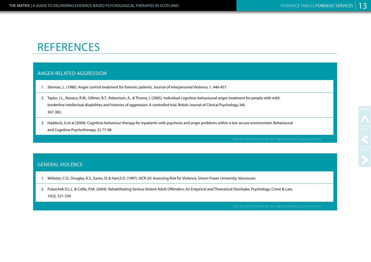# **REFERENCES**

### ANGER-RELATED AGGRESSION

- 1. Stermac, L. (1986). Anger control treatment for forensic patients. Journal of Interpersonal Violence, 1, 446-457
- 2. Taylor, J.L., Novaco, R.W., Gillmer, B.T., Robertson, A., & Thorne, I. (2005). Individual cognitive-behavioural anger treatment for people with mildborderline intellectual disabilities and histories of aggression: A controlled trial. British Journal of Clinical Psychology, I44, 367-382.
- 3. Haddock, G et al (2004). Cognitive-behaviour therapy for inpatients with psychosis and anger problems within a low secure environment. Behavioural and Cognitive Psychotherapy, 32 77-98

### GENERAL VIOLENCE

- 1. Webster, C.D.; Douglas, K.S.; Eaves, D; & Hart,S.D. (1997). HCR-20: Assessing Risk for Violence, Simon Fraser University, Vancouver.
- 2. Polaschek D.L.L. & Collie, R.M. (2004). Rehabilitating Serious Violent Adult Offenders: An Empirical and Theoretical Stocktake, Psychology, Crime & Law, 10(3), 321-334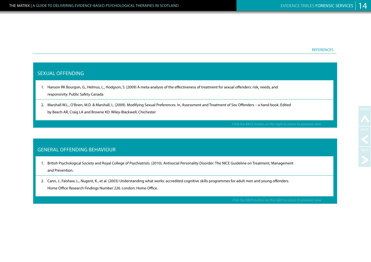#### **REFERENCES**

#### SEXUAL OFFENDING

- 1. Hanson RK Bourgon, G., Helmus, L., Hodgson, S. (2009) A meta-analysis of the effectiveness of treatment for sexual offenders: risk, needs, and responsivity. Public Safety Canada
- 2. Marshall W.L., O'Brien, M.D. & Marshall, L. (2009). Modifying Sexual Preferences. In, Assessment and Treatment of Sex Offenders a hand book. Edited by Beech AR, Craig LA and Browne KD. Wiley-Blackwell, Chichester

### GENERAL OFFENDING BEHAVIOUR

- 1. British Psychological Society and Royal College of Psychiatrists. (2010). Antisocial Personality Disorder: The NICE Guideline on Treatment, Management and Prevention.
- 2. Cann, J., Falshaw, L., Nugent, K., et al. (2003) Understanding what works: accredited cognitive skills programmes for adult men and young offenders. Home Office Research Findings Number 226. London: Home Office.